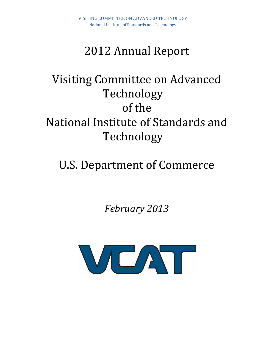## 2012 Annual Report

# Visiting Committee on Advanced Technology of the National Institute of Standards and Technology

# U.S. Department of Commerce

*February 2013*

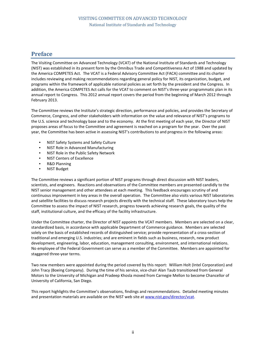## **Preface**

The Visiting Committee on Advanced Technology (VCAT) of the National Institute of Standards and Technology (NIST) was established in its present form by the Omnibus Trade and Competitiveness Act of 1988 and updated by the America COMPETES Act. The VCAT is a Federal Advisory Committee Act (FACA) committee and its charter includes reviewing and making recommendations regarding general policy for NIST, its organization, budget, and programs within the framework of applicable national policies as set forth by the president and the Congress. In addition, the America COMPETES Act calls for the VCAT to comment on NIST's three-year programmatic plan in its annual report to Congress. This 2012 annual report covers the period from the beginning of March 2012 through February 2013.

The Committee reviews the Institute's strategic direction, performance and policies, and provides the Secretary of Commerce, Congress, and other stakeholders with information on the value and relevance of NIST's programs to the U.S. science and technology base and to the economy. At the first meeting of each year, the Director of NIST proposes areas of focus to the Committee and agreement is reached on a program for the year. Over the past year, the Committee has been active in assessing NIST's contributions to and progress in the following areas:

- NIST Safety Systems and Safety Culture
- NIST Role in Advanced Manufacturing
- NIST Role in the Public Safety Network
- NIST Centers of Excellence
- R&D Planning
- NIST Budget

The Committee reviews a significant portion of NIST programs through direct discussion with NIST leaders, scientists, and engineers. Reactions and observations of the Committee members are presented candidly to the NIST senior management and other attendees at each meeting. This feedback encourages scrutiny of and continuous improvement in key areas in the overall operation. The Committee also visits various NIST laboratories and satellite facilities to discuss research projects directly with the technical staff. These laboratory tours help the Committee to assess the impact of NIST research, progress towards achieving research goals, the quality of the staff, institutional culture, and the efficacy of the facility infrastructure.

Under the Committee charter, the Director of NIST appoints the VCAT members. Members are selected on a clear, standardized basis, in accordance with applicable Department of Commerce guidance. Members are selected solely on the basis of established records of distinguished service; provide representation of a cross-section of traditional and emerging U.S. industries; and are eminent in fields such as business, research, new product development, engineering, labor, education, management consulting, environment, and international relations. No employee of the Federal Government can serve as a member of the Committee. Members are appointed for staggered three-year terms.

Two new members were appointed during the period covered by this report: William Holt (Intel Corporation) and John Tracy (Boeing Company). During the time of his service, vice-chair Alan Taub transitioned from General Motors to the University of Michigan and Pradeep Khosla moved from Carnegie Mellon to become Chancellor of University of California, San Diego.

This report highlights the Committee's observations, findings and recommendations. Detailed meeting minutes and presentation materials are available on the NIST web site at [www.nist.gov/director/vcat.](http://www.nist.gov/director/vcat)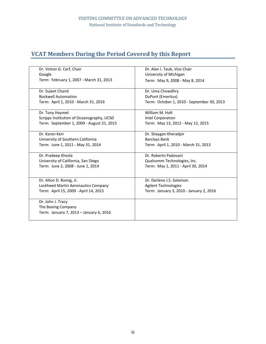## **VCAT Members During the Period Covered by this Report**

| Dr. Vinton G. Cerf, Chair                 | Dr. Alan I. Taub, Vice Chair               |  |  |  |  |  |
|-------------------------------------------|--------------------------------------------|--|--|--|--|--|
| Google                                    | University of Michigan                     |  |  |  |  |  |
| Term: February 1, 2007 - March 31, 2013   | Term: May 9, 2008 - May 8, 2014            |  |  |  |  |  |
|                                           |                                            |  |  |  |  |  |
| Dr. Sujeet Chand                          | Dr. Uma Chowdhry                           |  |  |  |  |  |
| <b>Rockwell Automation</b>                | DuPont (Emeritus)                          |  |  |  |  |  |
| Term: April 1, 2010 - March 31, 2016      | Term: October 1, 2010 - September 30, 2013 |  |  |  |  |  |
| Dr. Tony Haymet                           | William M. Holt                            |  |  |  |  |  |
| Scripps Institution of Oceanography, UCSD | Intel Corporation                          |  |  |  |  |  |
| Term: September 1, 2009 - August 31, 2015 | Term: May 13, 2012 - May 12, 2015          |  |  |  |  |  |
|                                           |                                            |  |  |  |  |  |
| Dr. Karen Kerr                            | Dr. Shaygan Kheradpir                      |  |  |  |  |  |
| University of Southern California         | <b>Barclays Bank</b>                       |  |  |  |  |  |
| Term: June 1, 2011 - May 31, 2014         | Term: April 1, 2010 - March 31, 2013       |  |  |  |  |  |
|                                           |                                            |  |  |  |  |  |
| Dr. Pradeep Khosla                        | Dr. Roberto Padovani                       |  |  |  |  |  |
| University of California, San Diego       | Qualcomm Technologies, Inc.                |  |  |  |  |  |
| Term: June 2, 2008 - June 1, 2014         | Term: May 1, 2011 - April 30, 2014         |  |  |  |  |  |
|                                           |                                            |  |  |  |  |  |
| Dr. Alton D. Romig, Jr.                   | Dr. Darlene J.S. Solomon                   |  |  |  |  |  |
| Lockheed Martin Aeronautics Company       | <b>Agilent Technologies</b>                |  |  |  |  |  |
| Term: April 15, 2009 - April 14, 2015     | Term: January 3, 2010 - January 2, 2016    |  |  |  |  |  |
|                                           |                                            |  |  |  |  |  |
| Dr. John J. Tracy                         |                                            |  |  |  |  |  |
| The Boeing Company                        |                                            |  |  |  |  |  |
| Term: January 7, 2013 - January 6, 2016   |                                            |  |  |  |  |  |
|                                           |                                            |  |  |  |  |  |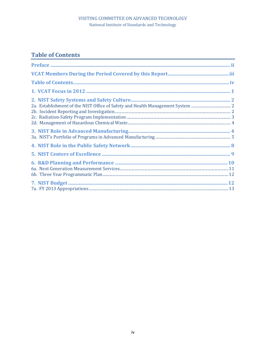## **Table of Contents**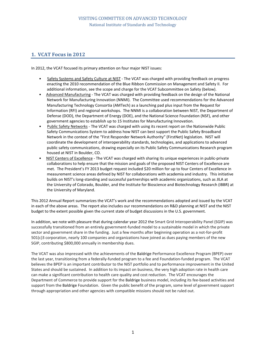### **1. VCAT Focus in 2012**

In 2012, the VCAT focused its primary attention on four major NIST issues:

- Safety Systems and Safety Culture at NIST The VCAT was charged with providing feedback on progress enacting the 2010 recommendation of the Blue Ribbon Commission on Management and Safety II. For additional information, see the scope and charge for the VCAT Subcommittee on Safety (below).
- Advanced Manufacturing The VCAT was charged with providing feedback on the design of the National Network for Manufacturing Innovation (NNMI). The Committee used recommendations for the Advanced Manufacturing Technology Consortia (AMTech) as a launching pad plus input from the Request for Information (RFI) and regional workshops. The NNMI is a collaboration between NIST, the Department of Defense (DOD), the Department of Energy (DOE), and the National Science Foundation (NSF), and other government agencies to establish up to 15 Institutes for Manufacturing Innovation.
- Public Safety Networks The VCAT was charged with using its recent report on the Nationwide Public Safety Communications System to address how NIST can best support the Public Safety Broadband Network in the context of the "First Responder Network Authority" (FirstNet) legislation. NIST will coordinate the development of interoperability standards, technologies, and applications to advanced public safety communications, drawing especially on its Public Safety Communications Research program housed at NIST in Boulder, CO.
- NIST Centers of Excellence The VCAT was charged with sharing its unique experiences in public-private collaborations to help ensure that the mission and goals of the proposed NIST Centers of Excellence are met. The President's FY 2013 budget request included \$20 million for up to four Centers of Excellence in measurement science areas defined by NIST for collaborations with academia and industry. This initiative builds on NIST's long-standing and successful partnerships with academic organizations, such as JILA at the University of Colorado, Boulder, and the Institute for Bioscience and Biotechnology Research (IBBR) at the University of Maryland.

This 2012 Annual Report summarizes the VCAT's work and the recommendations adopted and issued by the VCAT in each of the above areas. The report also includes our recommendations on R&D planning at NIST and the NIST budget to the extent possible given the current state of budget discussions in the U.S. government.

In addition, we note with pleasure that during calendar year 2012 the Smart Grid Interoperability Panel (SGIP) was successfully transitioned from an entirely government-funded model to a sustainable model in which the private sector and government share in the funding. Just a few months after beginning operation as a not-for-profit 501(c)3 corporation, nearly 100 companies and organizations have joined as dues paying members of the new SGIP, contributing \$800,000 annually in membership dues.

The VCAT was also impressed with the achievements of the Baldrige Performance Excellence Program (BPEP) over the last year, transitioning from a federally-funded program to a fee and Foundation-funded program. The VCAT believes the BPEP is an important contributor to the NIST portfolio and to performance improvement in the United States and should be sustained. In addition to its impact on business, the very high adoption rate in health care can make a significant contribution to health care quality and cost reduction. The VCAT encourages the Department of Commerce to provide support for the Baldrige business model, including its fee-based activities and support from the Baldrige Foundation. Given the public benefit of the program, some level of government support through appropriation and other agencies with compatible missions should not be ruled out.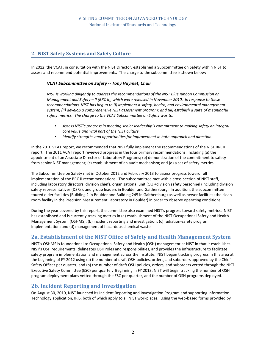## **2. NIST Safety Systems and Safety Culture**

In 2012, the VCAT, in consultation with the NIST Director, established a Subcommittee on Safety within NIST to assess and recommend potential improvements. The charge to the subcommittee is shown below:

#### *VCAT Subcommittee on Safety -- Tony Haymet, Chair*

*NIST is working diligently to address the recommendations of the NIST Blue Ribbon Commission on Management and Safety – II (BRC II), which were released in November 2010. In response to these recommendations, NIST has begun to (i) implement a safety, health, and environmental management system; (ii) develop a comprehensive NIST assessment program; and (iii) establish a suite of meaningful safety metrics. The charge to the VCAT Subcommittee on Safety was to:*

- *Assess NIST's progress in meeting senior leadership's commitment to making safety an integral core value and vital part of the NIST culture*
- *Identify strengths and opportunities for improvement in both approach and direction.*

In the 2010 VCAT report, we recommended that NIST fully implement the recommendations of the NIST BRCII report. The 2011 VCAT report reviewed progress in the four primary recommendations, including (a) the appointment of an Associate Director of Laboratory Programs; (b) demonstration of the commitment to safety from senior NIST management; (c) establishment of an audit mechanism; and (d) a set of safety metrics.

The Subcommittee on Safety met in October 2012 and February 2013 to assess progress toward full implementation of the BRC II recommendations. The subcommittee met with a cross-section of NIST staff, including laboratory directors, division chiefs, organizational unit (OU)/division safety personnel (including division safety representatives (DSRs), and group leaders in Boulder and Gaithersburg. In addition, the subcommittee toured older facilities (Building 2 in Boulder and Building 245 in Gaithersburg) as well as newer facilities (the clean room facility in the Precision Measurement Laboratory in Boulder) in order to observe operating conditions.

During the year covered by this report, the committee also examined NIST's progress toward safety metrics. NIST has established and is currently tracking metrics in (a) establishment of the NIST Occupational Safety and Health Management System (OSHMS); (b) incident reporting and investigation; (c) radiation-safety program implementation; and (d) management of hazardous chemical waste.

## **2a. Establishment of the NIST Office of Safety and Health Management System**

NIST's OSHMS is foundational to Occupational Safety and Health (OSH) management at NIST in that it establishes NIST's OSH requirements, delineates OSH roles and responsibilities, and provides the infrastructure to facilitate safety program implementation and management across the Institute. NIST began tracking progress in this area at the beginning of FY 2012 using (a) the number of draft OSH policies, orders, and suborders approved by the Chief Safety Officer per quarter; and (b) the number of draft OSH policies, orders, and suborders vetted through the NIST Executive Safety Committee (ESC) per quarter. Beginning in FY 2013, NIST will begin tracking the number of OSH program deployment plans vetted through the ESC per quarter, and the number of OSH programs deployed.

## **2b. Incident Reporting and Investigation**

On August 30, 2010, NIST launched its Incident Reporting and Investigation Program and supporting Information Technology application, IRIS, both of which apply to all NIST workplaces. Using the web-based forms provided by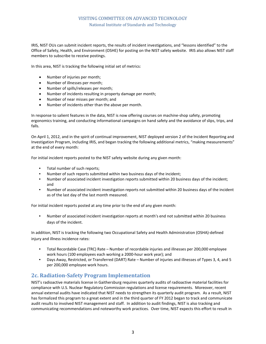IRIS, NIST OUs can submit incident reports, the results of incident investigations, and "lessons identified" to the Office of Safety, Health, and Environment (OSHE) for posting on the NIST safety website. IRIS also allows NIST staff members to subscribe to receive postings.

In this area, NIST is tracking the following initial set of metrics:

- Number of injuries per month;
- Number of illnesses per month;
- Number of spills/releases per month;
- Number of incidents resulting in property damage per month;
- Number of near misses per month; and
- Number of incidents other than the above per month.

In response to salient features in the data, NIST is now offering courses on machine-shop safety, promoting ergonomics training, and conducting informational campaigns on hand safety and the avoidance of slips, trips, and falls.

On April 1, 2012, and in the spirit of continual improvement, NIST deployed version 2 of the Incident Reporting and Investigation Program, including IRIS, and began tracking the following additional metrics, "making measurements" at the end of every month:

For initial incident reports posted to the NIST safety website during any given month:

- Total number of such reports;
- Number of such reports submitted within two business days of the incident;
- Number of associated incident investigation reports submitted within 20 business days of the incident; and
- Number of associated incident investigation reports not submitted within 20 business days of the incident as of the last day of the last month measured.

For initial incident reports posted at any time prior to the end of any given month:

• Number of associated incident investigation reports at month's end not submitted within 20 business days of the incident.

In addition, NIST is tracking the following two Occupational Safety and Health Administration (OSHA)-defined injury and illness incidence rates:

- Total Recordable Case (TRC) Rate Number of recordable injuries and illnesses per 200,000 employee work hours (100 employees each working a 2000-hour work year); and
- Days Away, Restricted, or Transferred (DART) Rate Number of injuries and illnesses of Types 3, 4, and 5 per 200,000 employee work hours.

## **2c. Radiation-Safety Program Implementation**

NIST's radioactive materials license in Gaithersburg requires quarterly audits of radioactive material facilities for compliance with U.S. Nuclear Regulatory Commission regulations and license requirements. Moreover, recent annual external audits have indicated that NIST needs to strengthen its quarterly audit program. As a result, NIST has formalized this program to a great extent and in the third quarter of FY 2012 began to track and communicate audit results to involved NIST management and staff. In addition to audit findings, NIST is also tracking and communicating recommendations and noteworthy work practices. Over time, NIST expects this effort to result in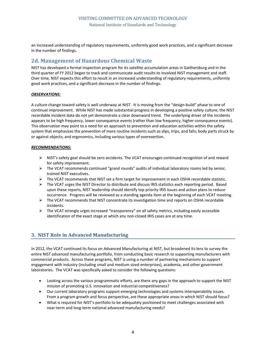an increased understanding of regulatory requirements, uniformly good work practices, and a significant decrease in the number of findings.

## **2d. Management of Hazardous Chemical Waste**

NIST has developed a formal inspection program for its satellite accumulation areas in Gaithersburg and in the third quarter of FY 2012 began to track and communicate audit results to involved NIST management and staff. Over time, NIST expects this effort to result in an increased understanding of regulatory requirements, uniformly good work practices, and a significant decrease in the number of findings.

#### *OBSERVATIONS:*

A culture change toward safety is well underway at NIST. It is moving from the "design-build" phase to one of continual improvement. While NIST has made substantial progress in developing a positive safety culture, the NIST recordable incident data do not yet demonstrate a clear downward trend. The underlying driver of the incidents appears to be high frequency, lower consequence events (rather than low frequency, higher consequence events). This observation may point to a need for an approach to prevention and education activities within the safety system that emphasizes the prevention of more routine incidents such as slips, trips, and falls; body parts struck by or against objects; and ergonomics, including various types of overexertion.

#### *RECOMMENDATIONS:*

- ▶ NIST's safety goal should be zero accidents. The VCAT encourages continued recognition of and reward for safety improvement.
- $\triangleright$  The VCAT recommends continued "grand rounds" audits of individual laboratory rooms led by senior, trained NIST executives.
- $\triangleright$  The VCAT recommends that NIST set a firm target for improvement in each OSHA recordable statistic.
- $\triangleright$  The VCAT urges the NIST Director to distribute and discuss IRIS statistics each reporting period. Based upon these reports, NIST leadership should identify top priority IRIS issues and action plans to reduce occurrence. Progress will be reviewed as a standing agenda item at the beginning of each VCAT meeting.
- The VCAT recommends that NIST concentrate its investigation time and reports on OSHA recordable incidents.
- $\triangleright$  The VCAT strongly urges increased "transparency" on all safety metrics, including easily accessible identification of the exact stage at which any non-closed IRIS cases are at any time.

## **3. NIST Role in Advanced Manufacturing**

In 2012, the VCAT continued its focus on Advanced Manufacturing at NIST, but broadened its lens to survey the entire NIST advanced manufacturing portfolio, from conducting basic research to supporting manufacturers with commercial products. Across these programs, NIST is using a number of partnering mechanisms to support engagement with industry (including small and medium sized enterprises), academia, and other government laboratories. The VCAT was specifically asked to consider the following questions:

- Looking across the various programmatic efforts, are there any gaps in the approach to support the NIST mission of promoting U.S. innovation and industrial competitiveness?
- Our current laboratory programs support emerging technologies and systems interoperability issues. From a program growth and focus perspective, are these appropriate areas in which NIST should focus?
- What is required for NIST's portfolio to be adequately positioned to meet challenges associated with near-term and long-term national advanced manufacturing needs?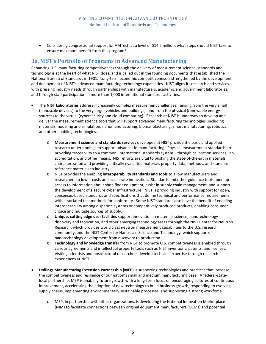• Considering congressional support for AMTech at a level of \$14.5 million, what steps should NIST take to ensure maximum benefit from this program?

## **3a. NIST's Portfolio of Programs in Advanced Manufacturing**

Enhancing U.S. manufacturing competitiveness through the delivery of measurement science, standards and technology is at the heart of what NIST does, and is called out in the founding documents that established the National Bureau of Standards in 1901. Long-term economic competitiveness is strengthened by the development and deployment of NIST's advanced manufacturing technology capabilities. NIST aligns its research and services with pressing industry needs through partnerships with manufacturers, academic and government laboratories, and through staff participation in more than 1,000 international standards activities.

- **The NIST Laboratories** address increasingly complex measurement challenges, ranging from the very small (nanoscale devices) to the very large (vehicles and buildings), and from the physical (renewable energy sources) to the virtual (cybersecurity and cloud computing). Research at NIST is underway to develop and deliver the measurement science tools that will support advanced manufacturing technologies, including materials modeling and simulation, nanomanufacturing, biomanufacturing, smart manufacturing, robotics, and other enabling technologies.
	- o **Measurement science and standards services** developed at NIST provide the basic and applied research underpinnings to support advances in manufacturing. Physical measurement standards are providing traceability to a common, international standards system – through calibration services, lab accreditation, and other means. NIST efforts are vital to pushing the state-of-the-art in materials characterization and providing critically evaluated materials property data, methods, and standard reference materials to industry.
	- o NIST provides the enabling **interoperability standards and tools** to allow manufacturers and researchers to lower costs and accelerate innovation. Standards and other guidance tools open up access to information about shop floor equipment, assist in supply chain management, and support the development of a secure cyber infrastructure. NIST is providing industry with support for open, consensus-based standards and specifications that define technical and performance requirements, with associated test methods for conformity. Some NIST standards also have the benefit of enabling interoperability among disparate systems or competitively produced products, enabling consumer choice and multiple sources of supply.
	- o **Unique, cutting edge user facilities** support innovation in materials science, nanotechnology discovery and fabrication, and other emerging technology areas through the NIST Center for Neutron Research, which provides world class neutron measurement capabilities to the U.S. research community, and the NIST Center for Nanoscale Science and Technology, which supports nanotechnology development from discovery to production.
	- o **Technology and knowledge transfer** from NIST to promote U.S. competitiveness is enabled through various agreements and intellectual property tools such as NIST inventions, patents, and licenses. Visiting scientists and postdoctoral researchers develop technical expertise through research experiences at NIST.
- **Hollings Manufacturing Extension Partnership (MEP)** is supporting technologies and practices that increase the competitiveness and resilience of our nation's small and medium manufacturing base. A federal-statelocal partnership, MEP is enabling future growth with a long-term focus on encouraging cultures of continuous improvement, accelerating the adoption of new technology to build business growth, responding to evolving supply chains, implementing environmentally sustainable processes, and supporting a strong workforce.
	- o MEP, in partnership with other organizations, is developing the National Innovation Marketplace (NIM) to facilitate connections between original equipment manufacturers (OEMs) and potential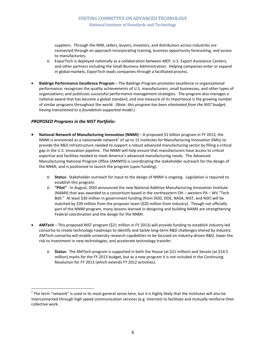suppliers. Through the NIM, sellers, buyers, investors, and distributors across industries are connected through an approach incorporating training, business opportunity forecasting, and access to manufacturers.

- o ExporTech is deployed nationally as a collaboration between MEP, U.S. Export Assistance Centers, and other partners including the Small Business Administration. Helping companies enter or expand in global markets, ExporTech leads companies through a facilitated process.
- **Baldrige Performance Excellence Program** The Baldrige Program promotes excellence in organizational performance; recognizes the quality achievements of U.S. manufacturers, small businesses, and other types of organizations; and publicizes successful performance management strategies. The program also manages a national award that has become a global standard, and one measure of its importance is the growing number of similar programs throughout the world. *(Note: this program has been eliminated from the NIST budget, having transitioned to a foundation-supported model.)*

#### *PROPOSED Programs in the NIST Portfolio:*

- **National Network of Manufacturing Innovation (NNMI)** A proposed \$1 billion program in FY 2013, the NNMI is envisioned as a nationwide network $1$  of up to 15 Institutes for Manufacturing Innovation (IMIs) to provide the R&D infrastructure needed to support a robust advanced manufacturing sector by filling a critical gap in the U.S. innovation pipeline. The NNMI will help ensure that manufacturers have access to critical expertise and facilities needed to meet America's advanced manufacturing needs. The Advanced Manufacturing National Program Office (AMNPO) is coordinating the stakeholder outreach for the design of the NNMI, and is positioned to launch the program (upon funding).
	- o **Status**: Stakeholder outreach for input to the design of NNMI is ongoing. Legislation is required to establish this program.
	- o **"Pilot"**  In August, DOD announced the new National Additive Manufacturing Innovation Institute (NAMII) that was awarded to a consortium based in the northeastern OH – western PA – WV "Tech Belt." At least \$30 million in government funding (from DOD, DOE, NASA, NIST, and NSF) will be matched by \$39 million from the proposer team (\$20 million from industry). Though not officially part of the NNMI program, many lessons learned in designing and building NAMII are strengthening Federal coordination and the design for the NNMI.
- **AMTech** This proposed NIST program (\$21 million in FY 2013) will provide funding to establish industry-led consortia to create technology roadmaps to identify and tackle long-term R&D challenges shared by industry. AMTech consortia will enable university research capabilities to be focused on industry-driven R&D, lower the risk to investment in new technologies, and accelerate technology transfer.
	- o **Status**: The AMTech program is supported in both the House (at \$21 million) and Senate (at \$14.5 million) marks for the FY 2013 budget, but as a new program it is not included in the Continuing Resolution for FY 2013 (which extends FY 2012 activities).

 $1$  The term "network" is used in its most general sense here, but it is highly likely that the institutes will also be interconnected through high speed communication services (e.g. Internet) to facilitate and mutually reinforce their collective work.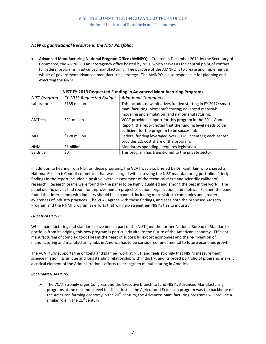#### *NEW Organizational Resource in the NIST Portfolio:*

• **Advanced Manufacturing National Program Office (AMNPO)** – Created in December 2011 by the Secretary of Commerce, the AMNPO is an interagency office hosted by NIST, which serves as the central point of contact for federal programs in advanced manufacturing. The purpose of the AMNPO is to create and implement a whole-of-government advanced manufacturing strategy. The AMNPO is also responsible for planning and executing the NNMI.

| NIST FY 2013 Requested Funding in Advanced Manufacturing Programs |                          |                                                                 |  |  |  |  |
|-------------------------------------------------------------------|--------------------------|-----------------------------------------------------------------|--|--|--|--|
| <b>NIST Program</b>                                               | FY 2013 Requested Budget | <b>Additional Comments</b>                                      |  |  |  |  |
| Laboratories                                                      | \$135 million            | This includes new initiatives funded starting in FY 2012: smart |  |  |  |  |
|                                                                   |                          | manufacturing; biomanufacturing; advanced materials             |  |  |  |  |
|                                                                   |                          | modeling and simulation; and nanomanufacturing.                 |  |  |  |  |
| AMTech                                                            | \$21 million             | VCAT provided support for this program in the 2011 Annual       |  |  |  |  |
|                                                                   |                          | Report; the report noted that the funding level needs to be     |  |  |  |  |
|                                                                   |                          | sufficient for the program to be successful.                    |  |  |  |  |
| <b>MEP</b>                                                        | \$128 million            | Federal funding leveraged over 60 MEP centers; each center      |  |  |  |  |
|                                                                   |                          | provides 2:1 cost share of the program.                         |  |  |  |  |
| <b>NNMI</b>                                                       | \$1 billion              | Mandatory spending - requires legislation.                      |  |  |  |  |
| Baldrige                                                          | \$0                      | This program has transitioned to the private sector.            |  |  |  |  |

In addition to hearing from NIST on these programs, the VCAT was also briefed by Dr. Kanti Jain who chaired a National Research Council committee that was charged with assessing the NIST manufacturing portfolio. Principal findings in the report included a positive overall assessment of the technical merit and scientific caliber of research. Research teams were found by the panel to be highly qualified and among the best in the world. The panel did, however, find room for improvement in project selection, organization, and metrics. Further, the panel found that interactions with industry should be expanded, including more visits to companies and greater awareness of industry practices. The VCAT agrees with these findings, and sees both the proposed AMTech Program and the NNMI program as efforts that will help strengthen NIST's ties to industry.

#### *OBSERVATIONS:*

While manufacturing and standards have been a part of the NIST (and the former National Bureau of Standards) portfolio from its origins, this new program is particularly vital to the future of the American economy. Efficient manufacturing of complex goods lies at the heart of successful export economies and the re-invention of manufacturing and manufacturing jobs in America has to be considered fundamental to future economic growth.

The VCAT fully supports the ongoing and planned work at NIST, and feels strongly that NIST's measurement science mission, its unique and longstanding relationship with industry, and its broad portfolio of programs make it a critical element of the Administration's efforts to strengthen manufacturing in America.

#### *RECOMMENDATIONS:*

 $\triangleright$  The VCAT strongly urges Congress and the Executive branch to fund NIST's Advanced Manufacturing programs at the maximum level feasible. Just as the Agricultural Extension program was the backbone of the American farming economy in the 20<sup>th</sup> century, the Advanced Manufacturing programs will provide a similar role in the  $21<sup>st</sup>$  century.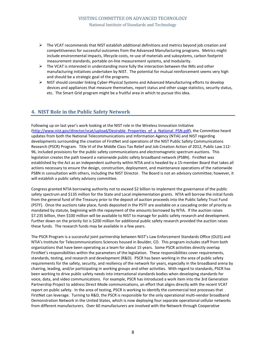- $\triangleright$  The VCAT recommends that NIST establish additional definitions and metrics beyond job creation and competitiveness for successful outcomes from the Advanced Manufacturing programs. Metrics might include environmental impacts, lifecycle costs, re-use of materials and subsystems, carbon footprint measurement standards, portable on-line measurement systems, and modularity.
- $\triangleright$  The VCAT is interested in understanding more fully the interaction between the IMIs and other manufacturing initiatives undertaken by NIST. The potential for mutual reinforcement seems very high and should be a strategic goal of the programs.
- $\triangleright$  NIST should consider linking Cyber-Physical Systems and Advanced Manufacturing efforts to develop devices and appliances that measure themselves, report status and other usage statistics, security status, etc. The Smart Grid program might be a fruitful area in which to pursue this idea.

### **4. NIST Role in the Public Safety Network**

Following up on last year's work looking at the NIST role in the Wireless Innovation Initiative [\(http://www.nist.gov/director/vcat/upload/Desirable\\_Properties\\_of\\_a\\_National\\_PSN.pdf\)](http://www.nist.gov/director/vcat/upload/Desirable_Properties_of_a_National_PSN.pdf), the Committee heard updates from both the National Telecommunications and Information Agency (NTIA) and NIST regarding developments surrounding the creation of FirstNet and operations of the NIST Public Safety Communications Research (PSCR) Program. Title VI of the Middle Class Tax Relief and Job Creation Action of 2012, Public Law 112- 96, included provisions for the public safety communications and electromagnetic spectrum auctions. This legislation creates the path toward a nationwide public safety broadband network (PSBN). FirstNet was established by the Act as an independent authority within NTIA and is headed by a 15-member Board that takes all actions necessary to ensure the design, construction, deployment, and maintenance operations of the nationwide PSBN in consultation with others, including the NIST Director. The Board is not an advisory committee; however, it will establish a public safety advisory committee.

Congress granted NTIA borrowing authority not to exceed \$2 billion to implement the governance of the public safety spectrum and \$135 million for the State and Local implementation grants. NTIA will borrow the initial funds from the general fund of the Treasury prior to the deposit of auction proceeds into the Public Safety Trust Fund (PSTF). Once the auctions take place, funds deposited in the PSTF are available on a cascading order of priority as mandated by statute, beginning with the repayment of the amounts borrowed by NTIA. If the auction raises \$7.235 billion, then \$100 million will be available to NIST to manage for public safety research and development. Further down on the priority list is \$200 million for additional public safety research provided the auction raises these funds. The research funds may be available in a few years.

The PSCR Program is a successful joint partnership between NIST's Law Enforcement Standards Office (OLES) and NTIA's Institute for Telecommunications Sciences housed in Boulder, CO. This program includes staff from both organizations that have been operating as a team for about 15 years. Some PSCR activities directly overlap FirstNet's responsibilities within the parameters of the legislation. These responsibilities cover requirements, standards, testing, and research and development (R&D). PSCR has been working in the area of public safety requirements for the safety, security, and resiliency of the network for years, especially in the broadband arena by chairing, leading, and/or participating in working groups and other activities. With regard to standards, PSCR has been working to drive public safety needs into international standards bodies when developing standards for voice, data, and video communications. For example, PSCR has introduced a work item into the 3rd Generation Partnership Project to address Direct Mode communications, an effort that aligns directly with the recent VCAT report on public safety. In the area of testing, PSCR is working to identify the commercial test processes that FirstNet can leverage. Turning to R&D, the PSCR is responsible for the only operational multi-vendor broadband Demonstration Network in the United States, which is now deploying four separate operational cellular networks from different manufacturers. Over 60 manufacturers are involved with the Network through Cooperative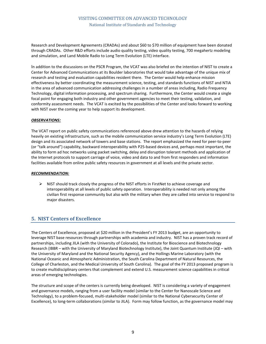Research and Development Agreements (CRADAs) and about \$60 to \$70 million of equipment have been donated through CRADAs. Other R&D efforts include audio quality testing, video quality testing, 700 megahertz modeling and simulation, and Land Mobile Radio to Long Term Evolution (LTE) interface.

In addition to the discussions on the PSCR Program, the VCAT was also briefed on the intention of NIST to create a Center for Advanced Communications at its Boulder laboratories that would take advantage of the unique mix of research and testing and evaluation capabilities resident there. The Center would help enhance mission effectiveness by better coordinating the measurement science, testing, and standards functions of NIST and NTIA in the area of advanced communication addressing challenges in a number of areas including, Radio Frequency Technology, digital information processing, and spectrum sharing. Furthermore, the Center would create a single focal point for engaging both industry and other government agencies to meet their testing, validation, and conformity assessment needs. The VCAT is excited by the possibilities of the Center and looks forward to working with NIST over the coming year to help support its development.

#### *OBSERVATIONS:*

The VCAT report on public safety communications referenced above drew attention to the hazards of relying heavily on existing infrastructure, such as the mobile communication service industry's Long Term Evolution (LTE) design and its associated network of towers and base stations. The report emphasized the need for peer-to-peer (or "talk around") capability, backward interoperability with P25-based devices and, perhaps most important, the ability to form ad hoc networks using packet switching, delay and disruption tolerant methods and application of the Internet protocols to support carriage of voice, video and data to and from first responders and information facilities available from online public safety resources in government at all levels and the private sector.

#### *RECOMMENDATION:*

 $\triangleright$  NIST should track closely the progress of the NIST efforts in FirstNet to achieve coverage and interoperability at all levels of public safety operation. Interoperability is needed not only among the civilian first response community but also with the military when they are called into service to respond to major disasters.

#### **5. NIST Centers of Excellence**

The Centers of Excellence, proposed at \$20 million in the President's FY 2013 budget, are an opportunity to leverage NIST base resources through partnerships with academia and industry. NIST has a proven track record of partnerships, including JILA (with the University of Colorado), the Institute for Bioscience and Biotechnology Research (IBBR – with the University of Maryland Biotechnology Institute), the Joint Quantum Institute (JQI – with the University of Maryland and the National Security Agency), and the Hollings Marine Laboratory (with the National Oceanic and Atmospheric Administration, the South Carolina Department of Natural Resources, the College of Charleston, and the Medical University of South Carolina). The goal of the FY 2013 proposed program is to create multidisciplinary centers that complement and extend U.S. measurement science capabilities in critical areas of emerging technologies.

The structure and scope of the centers is currently being developed. NIST is considering a variety of engagement and governance models, ranging from a user facility model (similar to the Center for Nanoscale Science and Technology), to a problem-focused, multi-stakeholder model (similar to the National Cybersecurity Center of Excellence), to long-term collaborations (similar to JILA). Form may follow function, as the governance model may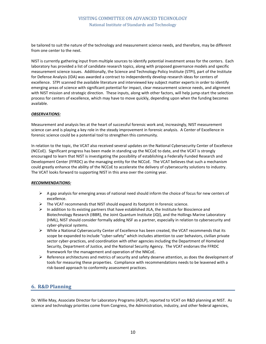be tailored to suit the nature of the technology and measurement science needs, and therefore, may be different from one center to the next.

NIST is currently gathering input from multiple sources to identify potential investment areas for the centers. Each laboratory has provided a list of candidate research topics, along with proposed governance models and specific measurement science issues. Additionally, the Science and Technology Policy Institute (STPI), part of the Institute for Defense Analysis (IDA) was awarded a contract to independently develop research ideas for centers of excellence. STPI scanned the available literature and interviewed key subject matter experts in order to identify emerging areas of science with significant potential for impact, clear measurement science needs, and alignment with NIST mission and strategic direction. These inputs, along with other factors, will help jump-start the selection process for centers of excellence, which may have to move quickly, depending upon when the funding becomes available.

#### *OBSERVATIONS:*

Measurement and analysis lies at the heart of successful forensic work and, increasingly, NIST measurement science can and is playing a key role in the steady improvement in forensic analysis. A Center of Excellence in forensic science could be a potential tool to strengthen this community.

In relation to the topic, the VCAT also received several updates on the National Cybersecurity Center of Excellence (NCCoE). Significant progress has been made in standing up the NCCoE to date, and the VCAT is strongly encouraged to learn that NIST is investigating the possibility of establishing a Federally Funded Research and Development Center (FFRDC) as the managing entity for the NCCoE. The VCAT believes that such a mechanism could greatly enhance the ability of the NCCoE to accelerate the delivery of cybersecurity solutions to industry. The VCAT looks forward to supporting NIST in this area over the coming year.

#### *RECOMMENDATIONS:*

- $\triangleright$  A gap analysis for emerging areas of national need should inform the choice of focus for new centers of excellence.
- $\triangleright$  The VCAT recommends that NIST should expand its footprint in forensic science.
- $\triangleright$  In addition to its existing partners that have established JILA, the Institute for Bioscience and Biotechnology Research (IBBR), the Joint Quantum Institute (JQI), and the Hollings Marine Laboratory (HML), NIST should consider formally adding NSF as a partner, especially in relation to cybersecurity and cyber-physical systems.
- $\triangleright$  While a National Cybersecurity Center of Excellence has been created, the VCAT recommends that its scope be expanded to include "cyber-safety" which includes attention to user behaviors, civilian private sector cyber-practices, and coordination with other agencies including the Department of Homeland Security, Department of Justice, and the National Security Agency. The VCAT endorses the FFRDC framework for the management and operation of the NNCoE.
- $\triangleright$  Reference architectures and metrics of security and safety deserve attention, as does the development of tools for measuring these properties. Compliance with recommendations needs to be leavened with a risk-based approach to conformity assessment practices.

#### **6. R&D Planning**

Dr. Willie May, Associate Director for Laboratory Programs (ADLP), reported to VCAT on R&D planning at NIST. As science and technology priorities come from Congress, the Administration, industry, and other federal agencies,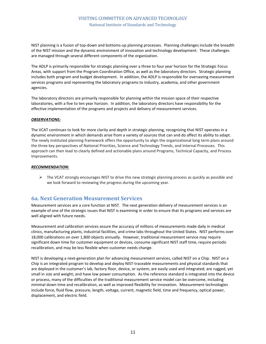NIST planning is a fusion of top-down and bottoms-up planning processes. Planning challenges include the breadth of the NIST mission and the dynamic environment of innovation and technology development. These challenges are managed through several different components of the organization.

The ADLP is primarily responsible for strategic planning over a three to four year horizon for the Strategic Focus Areas, with support from the Program Coordination Office, as well as the laboratory directors. Strategic planning includes both program and budget development. In addition, the ADLP is responsible for overseeing measurement services programs and representing the laboratory programs to industry, academia, and other government agencies.

The laboratory directors are primarily responsible for planning within the mission space of their respective laboratories, with a five to ten year horizon. In addition, the laboratory directors have responsibility for the effective implementation of the programs and projects and delivery of measurement services.

#### *OBSERVATIONS:*

The VCAT continues to look for more clarity and depth in strategic planning, recognizing that NIST operates in a dynamic environment in which demands arise from a variety of sources that can and do affect its ability to adapt. The newly instituted planning framework offers the opportunity to align the organizational long term plans around the three key perspectives of National Priorities, Science and Technology Trends, and Internal Processes. This approach can then lead to clearly defined and actionable plans around Programs, Technical Capacity, and Process Improvements.

#### *RECOMMENDATION:*

 $\triangleright$  The VCAT strongly encourages NIST to drive this new strategic planning process as quickly as possible and we look forward to reviewing the progress during the upcoming year.

#### **6a. Next Generation Measurement Services**

Measurement services are a core function at NIST. The next generation delivery of measurement services is an example of one of the strategic issues that NIST is examining in order to ensure that its programs and services are well aligned with future needs.

Measurement and calibration services assure the accuracy of millions of measurements made daily in medical clinics, manufacturing plants, industrial facilities, and crime labs throughout the United States. NIST performs over 18,000 calibrations on over 1,800 objects annually. However, traditional measurement service may require significant down time for customer equipment or devices, consume significant NIST staff time, require periodic recalibration, and may be less flexible when customer needs change.

NIST is developing a next-generation plan for advancing measurement services, called NIST on a Chip. NIST on a Chip is an integrated program to develop and deploy NIST-traceable measurements and physical standards that are deployed in the customer's lab, factory floor, device, or system; are easily used and integrated; are rugged, yet small in size and weight; and have low power consumption. As the reference standard is integrated into the device or process, many of the difficulties of the traditional measurement service model can be overcome, including minimal down time and recalibration, as well as improved flexibility for innovation. Measurement technologies include force, fluid flow, pressure, length, voltage, current, magnetic field, time and frequency, optical power, displacement, and electric field.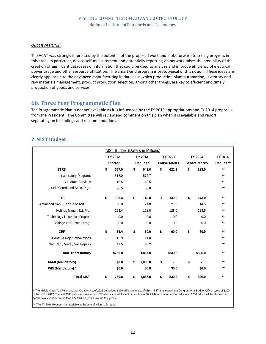#### *OBSERVATIONS:*

The VCAT was strongly impressed by the potential of the proposed work and looks forward to seeing progress in this area. In particular, device self-measurement and potentially reporting via network raises the possibility of the creation of significant databases of information that could be used to analyze and improve efficiency of electrical power usage and other resource utilization. The Smart Grid program is prototypical of this notion. These ideas are clearly applicable to the advanced manufacturing initiatives in which production plant automation, inventory and raw materials management, product production selection, among other things, are key to efficient and timely production of goods and services.

## **6b. Three Year Programmatic Plan**

The Programmatic Plan is not yet available as it is influenced by the FY 2013 appropriations and FY 2014 proposals from the President. The Committee will review and comment on this plan when it is available and report separately on its findings and recommendations.

### **7. NIST Budget**

|                                 | <b>NIST Budget (Dollars in Millions)</b> |         |         |         |    |                    |    |                     |           |  |  |
|---------------------------------|------------------------------------------|---------|---------|---------|----|--------------------|----|---------------------|-----------|--|--|
|                                 | FY 2012                                  |         | FY 2013 |         |    | FY 2013            |    | FY 2013             | FY 2014   |  |  |
|                                 | <b>Enacted</b>                           |         |         | Request |    | <b>House Marks</b> |    | <b>Senate Marks</b> | Request** |  |  |
| <b>STRS</b>                     | \$                                       | 567.0   | \$      | 648.0   | \$ | 621.2              | \$ | 623.0               | $**$      |  |  |
| Laboratory Programs             |                                          | 518.0   |         | 572.7   |    |                    |    |                     | $***$     |  |  |
| Corporate Services              |                                          | 18.5    |         | 18.5    |    |                    |    |                     | $***$     |  |  |
| Stds Coord. and Spec. Prgs.     |                                          | 30.5    |         | 56.8    |    |                    |    |                     | $***$     |  |  |
| <b>ITS</b>                      | \$                                       | 128.4   | \$      | 149.0   | \$ | 149.0              | \$ | 143.0               | $***$     |  |  |
| Advanced Manu. Tech. Consort.   |                                          | 0.0     |         | 21.0    |    | 21.0               |    | 14.5                | $***$     |  |  |
| Hollings Manuf. Ext. Prg.       |                                          | 128.4   |         | 128.0   |    | 128.0              |    | 128.5               | $***$     |  |  |
| Technology Innovation Program   |                                          | 0.0     |         | 0.0     |    | 0.0                |    | 0.0                 | $***$     |  |  |
| Baldrige Perf. Excel. Prog.     |                                          | 0.0     |         | 0.0     |    | 0.0                |    | 0.0                 | $***$     |  |  |
| <b>CRF</b>                      | \$                                       | 55.4    | \$      | 60.0    | \$ | 60.0               | \$ | 60.0                | $***$     |  |  |
| Const. & Major Renovations      |                                          | 13.9    |         | 11.8    |    |                    |    |                     | $***$     |  |  |
| Saf. Cap., Maint., Maj. Repairs |                                          | 41.5    |         | 48.2    |    |                    |    |                     | $***$     |  |  |
| <b>Total Discretionary</b>      |                                          | \$750.8 |         | \$857.0 |    | \$830.2            |    | \$826.0             | $**$      |  |  |
| NNMI (Mandatory)                |                                          | \$0.0   | \$      | 1,000.0 | \$ |                    | \$ |                     | $***$     |  |  |
| WIN (Mandatory) *               |                                          | \$0.0   |         | \$0.0   |    | \$0.0              |    | \$0.0               | $***$     |  |  |
| <b>Total NIST</b>               | \$                                       | 750.8   | \$      | 1,857.0 | \$ | 830.2              | \$ | 826.0               | $***$     |  |  |

The Middle Class Tax Relief and Job Creation Act of 2012 authorized \$300 million in funds, of which NIST is anticipating a Congressional Budget Office score of \$100 million in FY 2017. The first \$100 million is provided to NIST after successful spectrum auction of \$7.2 billion or more, and an additional \$200 million will be allocated if spectrum auctions net more than \$27.6 billion (could take up to 7 years).

The FY 2014 Request is unavailable at the time of writing this report.